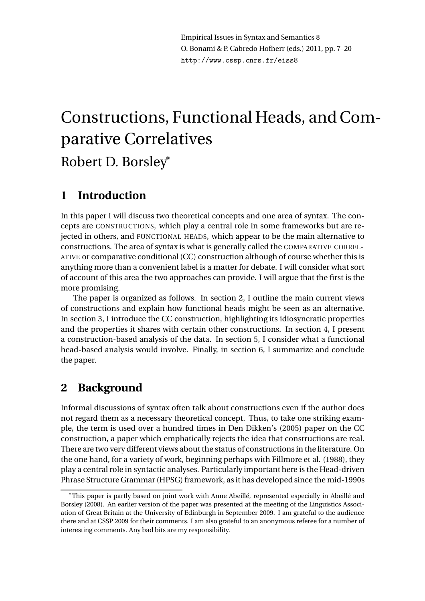Empirical Issues in Syntax and Semantics 8 O. Bonami & P. Cabredo Hofherr (eds.) 2011, pp. 7–20 http://www.cssp.cnrs.fr/eiss8

# Constructions, Functional Heads, and Comparative Correlatives Robert D. Borsley<sup>∗</sup>

### **1 Introduction**

In this paper I will discuss two theoretical concepts and one area of syntax. The concepts are CONSTRUCTIONS, which play a central role in some frameworks but are rejected in others, and FUNCTIONAL HEADS, which appear to be the main alternative to constructions. The area of syntax is what is generally called the COMPARATIVE CORREL-ATIVE or comparative conditional (CC) construction although of course whether this is anything more than a convenient label is a matter for debate. I will consider what sort of account of this area the two approaches can provide. I will argue that the first is the more promising.

The paper is organized as follows. In section 2, I outline the main current views of constructions and explain how functional heads might be seen as an alternative. In section 3, I introduce the CC construction, highlighting its idiosyncratic properties and the properties it shares with certain other constructions. In section 4, I present a construction-based analysis of the data. In section 5, I consider what a functional head-based analysis would involve. Finally, in section 6, I summarize and conclude the paper.

## **2 Background**

Informal discussions of syntax often talk about constructions even if the author does not regard them as a necessary theoretical concept. Thus, to take one striking example, the term is used over a hundred times in Den Dikken's (2005) paper on the CC construction, a paper which emphatically rejects the idea that constructions are real. There are two very different views about the status of constructions in the literature. On the one hand, for a variety of work, beginning perhaps with Fillmore et al. (1988), they play a central role in syntactic analyses. Particularly important here is the Head-driven Phrase Structure Grammar (HPSG) framework, as it has developed since the mid-1990s

<sup>∗</sup>This paper is partly based on joint work with Anne Abeillé, represented especially in Abeillé and Borsley (2008). An earlier version of the paper was presented at the meeting of the Linguistics Association of Great Britain at the University of Edinburgh in September 2009. I am grateful to the audience there and at CSSP 2009 for their comments. I am also grateful to an anonymous referee for a number of interesting comments. Any bad bits are my responsibility.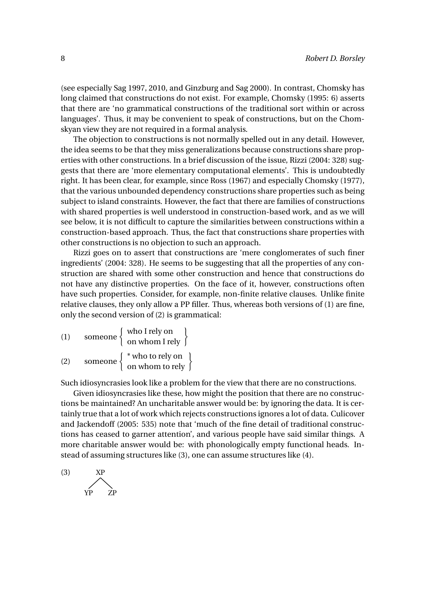(see especially Sag 1997, 2010, and Ginzburg and Sag 2000). In contrast, Chomsky has long claimed that constructions do not exist. For example, Chomsky (1995: 6) asserts that there are 'no grammatical constructions of the traditional sort within or across languages'. Thus, it may be convenient to speak of constructions, but on the Chomskyan view they are not required in a formal analysis.

The objection to constructions is not normally spelled out in any detail. However, the idea seems to be that they miss generalizations because constructions share properties with other constructions. In a brief discussion of the issue, Rizzi (2004: 328) suggests that there are 'more elementary computational elements'. This is undoubtedly right. It has been clear, for example, since Ross (1967) and especially Chomsky (1977), that the various unbounded dependency constructions share properties such as being subject to island constraints. However, the fact that there are families of constructions with shared properties is well understood in construction-based work, and as we will see below, it is not difficult to capture the similarities between constructions within a construction-based approach. Thus, the fact that constructions share properties with other constructions is no objection to such an approach.

Rizzi goes on to assert that constructions are 'mere conglomerates of such finer ingredients' (2004: 328). He seems to be suggesting that all the properties of any construction are shared with some other construction and hence that constructions do not have any distinctive properties. On the face of it, however, constructions often have such properties. Consider, for example, non-finite relative clauses. Unlike finite relative clauses, they only allow a PP filler. Thus, whereas both versions of (1) are fine, only the second version of (2) is grammatical:

| (1) | someone $\{$ | who I rely on $\left.\right\}$ on whom I rely          |
|-----|--------------|--------------------------------------------------------|
| (2) |              | someone $\begin{cases} *$ who to rely on $\end{cases}$ |

Such idiosyncrasies look like a problem for the view that there are no constructions.

Given idiosyncrasies like these, how might the position that there are no constructions be maintained? An uncharitable answer would be: by ignoring the data. It is certainly true that a lot of work which rejects constructions ignores a lot of data. Culicover and Jackendoff (2005: 535) note that 'much of the fine detail of traditional constructions has ceased to garner attention', and various people have said similar things. A more charitable answer would be: with phonologically empty functional heads. Instead of assuming structures like (3), one can assume structures like (4).

$$
\begin{array}{c}\n\text{(3)} \\
\text{NP} \\
\text{ZP}\n\end{array}
$$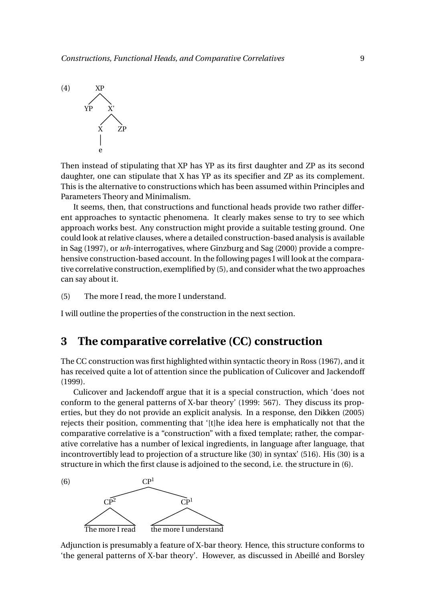

Then instead of stipulating that XP has YP as its first daughter and ZP as its second daughter, one can stipulate that X has YP as its specifier and ZP as its complement. This is the alternative to constructions which has been assumed within Principles and Parameters Theory and Minimalism.

It seems, then, that constructions and functional heads provide two rather different approaches to syntactic phenomena. It clearly makes sense to try to see which approach works best. Any construction might provide a suitable testing ground. One could look at relative clauses, where a detailed construction-based analysis is available in Sag (1997), or *wh*-interrogatives, where Ginzburg and Sag (2000) provide a comprehensive construction-based account. In the following pages I will look at the comparative correlative construction, exemplified by (5), and consider what the two approaches can say about it.

(5) The more I read, the more I understand.

I will outline the properties of the construction in the next section.

#### **3 The comparative correlative (CC) construction**

The CC construction was first highlighted within syntactic theory in Ross (1967), and it has received quite a lot of attention since the publication of Culicover and Jackendoff (1999).

Culicover and Jackendoff argue that it is a special construction, which 'does not conform to the general patterns of X-bar theory' (1999: 567). They discuss its properties, but they do not provide an explicit analysis. In a response, den Dikken (2005) rejects their position, commenting that '[t]he idea here is emphatically not that the comparative correlative is a "construction" with a fixed template; rather, the comparative correlative has a number of lexical ingredients, in language after language, that incontrovertibly lead to projection of a structure like (30) in syntax' (516). His (30) is a structure in which the first clause is adjoined to the second, i.e. the structure in (6).



Adjunction is presumably a feature of X-bar theory. Hence, this structure conforms to 'the general patterns of X-bar theory'. However, as discussed in Abeillé and Borsley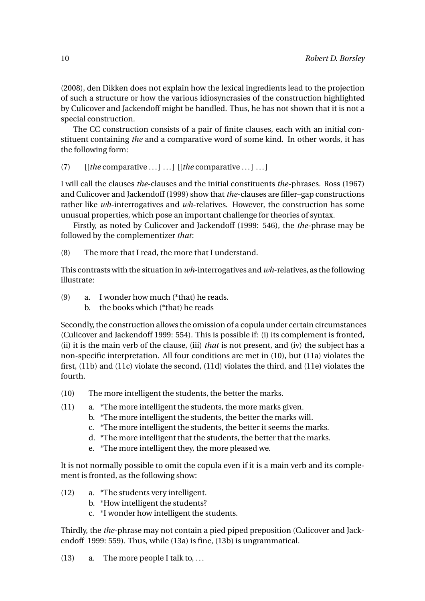(2008), den Dikken does not explain how the lexical ingredients lead to the projection of such a structure or how the various idiosyncrasies of the construction highlighted by Culicover and Jackendoff might be handled. Thus, he has not shown that it is not a special construction.

The CC construction consists of a pair of finite clauses, each with an initial constituent containing *the* and a comparative word of some kind. In other words, it has the following form:

(7) [[*the* comparative ... ] ... ] [[*the* comparative ... ] ... ]

I will call the clauses *the*-clauses and the initial constituents *the*-phrases. Ross (1967) and Culicover and Jackendoff (1999) show that *the*-clauses are filler–gap constructions rather like *wh*-interrogatives and *wh*-relatives. However, the construction has some unusual properties, which pose an important challenge for theories of syntax.

Firstly, as noted by Culicover and Jackendoff (1999: 546), the *the*-phrase may be followed by the complementizer *that*:

(8) The more that I read, the more that I understand.

This contrasts with the situation in *wh*-interrogatives and *wh*-relatives, as the following illustrate:

- (9) a. I wonder how much (\*that) he reads.
	- b. the books which (\*that) he reads

Secondly, the construction allows the omission of a copula under certain circumstances (Culicover and Jackendoff 1999: 554). This is possible if: (i) its complement is fronted, (ii) it is the main verb of the clause, (iii) *that* is not present, and (iv) the subject has a non-specific interpretation. All four conditions are met in (10), but (11a) violates the first, (11b) and (11c) violate the second, (11d) violates the third, and (11e) violates the fourth.

- (10) The more intelligent the students, the better the marks.
- (11) a. \*The more intelligent the students, the more marks given.
	- b. \*The more intelligent the students, the better the marks will.
	- c. \*The more intelligent the students, the better it seems the marks.
	- d. \*The more intelligent that the students, the better that the marks.
	- e. \*The more intelligent they, the more pleased we.

It is not normally possible to omit the copula even if it is a main verb and its complement is fronted, as the following show:

- (12) a. \*The students very intelligent.
	- b. \*How intelligent the students?
	- c. \*I wonder how intelligent the students.

Thirdly, the *the*-phrase may not contain a pied piped preposition (Culicover and Jackendoff 1999: 559). Thus, while (13a) is fine, (13b) is ungrammatical.

(13) a. The more people I talk to, ...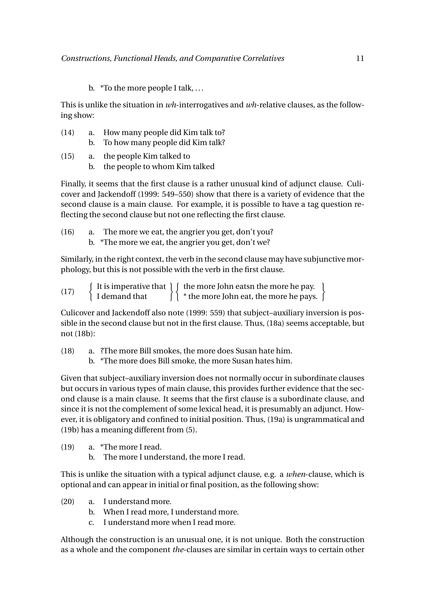b. \*To the more people I talk, ...

This is unlike the situation in *wh*-interrogatives and *wh*-relative clauses, as the following show:

- (14) a. How many people did Kim talk to?
	- b. To how many people did Kim talk?
- (15) a. the people Kim talked to
	- b. the people to whom Kim talked

Finally, it seems that the first clause is a rather unusual kind of adjunct clause. Culicover and Jackendoff (1999: 549–550) show that there is a variety of evidence that the second clause is a main clause. For example, it is possible to have a tag question reflecting the second clause but not one reflecting the first clause.

(16) a. The more we eat, the angrier you get, don't you? b. \*The more we eat, the angrier you get, don't we?

Similarly, in the right context, the verb in the second clause may have subjunctive morphology, but this is not possible with the verb in the first clause.

| (17) |               | It is imperative that $\int$ (the more John eats the more he pay. |  |
|------|---------------|-------------------------------------------------------------------|--|
|      | I demand that | $\int$ * the more John eat, the more he pays. $\int$              |  |

Culicover and Jackendoff also note (1999: 559) that subject–auxiliary inversion is possible in the second clause but not in the first clause. Thus, (18a) seems acceptable, but not (18b):

(18) a. ?The more Bill smokes, the more does Susan hate him.

b. \*The more does Bill smoke, the more Susan hates him.

Given that subject–auxiliary inversion does not normally occur in subordinate clauses but occurs in various types of main clause, this provides further evidence that the second clause is a main clause. It seems that the first clause is a subordinate clause, and since it is not the complement of some lexical head, it is presumably an adjunct. However, it is obligatory and confined to initial position. Thus, (19a) is ungrammatical and (19b) has a meaning different from (5).

- (19) a. \*The more I read.
	- b. The more I understand, the more I read.

This is unlike the situation with a typical adjunct clause, e.g. a *when*-clause, which is optional and can appear in initial or final position, as the following show:

- (20) a. I understand more.
	- b. When I read more, I understand more.
	- c. I understand more when I read more.

Although the construction is an unusual one, it is not unique. Both the construction as a whole and the component *the*-clauses are similar in certain ways to certain other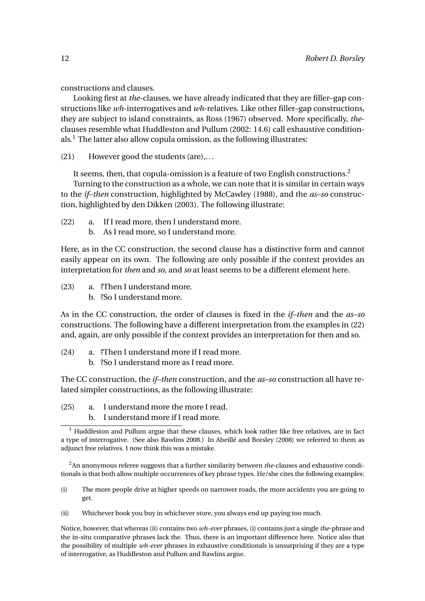constructions and clauses.

Looking first at *the*-clauses, we have already indicated that they are filler–gap constructions like *wh*-interrogatives and *wh*-relatives. Like other filler–gap constructions, they are subject to island constraints, as Ross (1967) observed. More specifically, *the*clauses resemble what Huddleston and Pullum (2002: 14.6) call exhaustive conditionals.<sup>1</sup> The latter also allow copula omission, as the following illustrates:

(21) However good the students (are),...

It seems, then, that copula-omission is a feature of two English constructions.<sup>2</sup>

Turning to the construction as a whole, we can note that it is similar in certain ways to the *if–then* construction, highlighted by McCawley (1988), and the *as–so* construction, highlighted by den Dikken (2003). The following illustrate:

- (22) a. If I read more, then I understand more.
	- b. As I read more, so I understand more.

Here, as in the CC construction, the second clause has a distinctive form and cannot easily appear on its own. The following are only possible if the context provides an interpretation for *then* and *so*, and *so* at least seems to be a different element here.

- (23) a. ?Then I understand more.
	- b. ?So I understand more.

As in the CC construction, the order of clauses is fixed in the *if–then* and the *as–so* constructions. The following have a different interpretation from the examples in (22) and, again, are only possible if the context provides an interpretation for then and so.

- (24) a. ?Then I understand more if I read more.
	- b. ?So I understand more as I read more.

The CC construction, the *if–then* construction, and the *as–so* construction all have related simpler constructions, as the following illustrate:

- (25) a. I understand more the more I read.
	- b. I understand more if I read more.

<sup>2</sup>An anonymous referee suggests that a further similarity between *the*-clauses and exhaustive conditionals is that both allow multiple occurrences of key phrase types. He/she cites the following examples:

- (i) The more people drive at higher speeds on narrower roads, the more accidents you are going to get.
- (ii) Whichever book you buy in whichever store, you always end up paying too much.

Notice, however, that whereas (ii) contains two *wh-ever* phrases, (i) contains just a single *the*-phrase and the in-situ comparative phrases lack the. Thus, there is an important difference here. Notice also that the possibility of multiple *wh-ever* phrases in exhaustive conditionals is unsurprising if they are a type of interrogative, as Huddleston and Pullum and Rawlins argue.

 $\frac{1}{1}$  Huddleston and Pullum argue that these clauses, which look rather like free relatives, are in fact a type of interrogative. (See also Rawlins 2008.) In Abeillé and Borsley (2008) we referred to them as adjunct free relatives. I now think this was a mistake.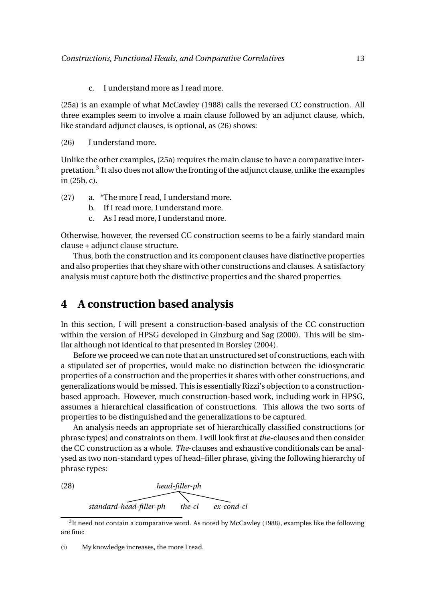c. I understand more as I read more.

(25a) is an example of what McCawley (1988) calls the reversed CC construction. All three examples seem to involve a main clause followed by an adjunct clause, which, like standard adjunct clauses, is optional, as (26) shows:

(26) I understand more.

Unlike the other examples, (25a) requires the main clause to have a comparative interpretation.<sup>3</sup> It also does not allow the fronting of the adjunct clause, unlike the examples in (25b, c).

- (27) a. \*The more I read, I understand more.
	- b. If I read more, I understand more.
	- c. As I read more, I understand more.

Otherwise, however, the reversed CC construction seems to be a fairly standard main clause + adjunct clause structure.

Thus, both the construction and its component clauses have distinctive properties and also properties that they share with other constructions and clauses. A satisfactory analysis must capture both the distinctive properties and the shared properties.

#### **4 A construction based analysis**

In this section, I will present a construction-based analysis of the CC construction within the version of HPSG developed in Ginzburg and Sag (2000). This will be similar although not identical to that presented in Borsley (2004).

Before we proceed we can note that an unstructured set of constructions, each with a stipulated set of properties, would make no distinction between the idiosyncratic properties of a construction and the properties it shares with other constructions, and generalizations would be missed. This is essentially Rizzi's objection to a constructionbased approach. However, much construction-based work, including work in HPSG, assumes a hierarchical classification of constructions. This allows the two sorts of properties to be distinguished and the generalizations to be captured.

An analysis needs an appropriate set of hierarchically classified constructions (or phrase types) and constraints on them. I will look first at *the*-clauses and then consider the CC construction as a whole. *The*-clauses and exhaustive conditionals can be analysed as two non-standard types of head–filler phrase, giving the following hierarchy of phrase types:

(28) *head-filler-ph standard-head-filler-ph the-cl ex-cond-cl*

 ${}^{3}$ It need not contain a comparative word. As noted by McCawley (1988), examples like the following are fine:

<sup>(</sup>i) My knowledge increases, the more I read.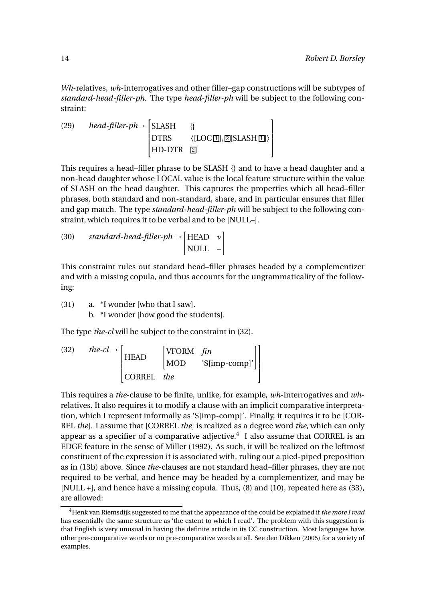*Wh*-relatives, *wh*-interrogatives and other filler–gap constructions will be subtypes of *standard-head-filler-ph*. The type *head-filler-ph* will be subject to the following constraint:

(29) *head-filler-ph*
$$
\rightarrow
$$
  $\begin{bmatrix} SLASH & \{\} \\ DTRS & \langle [LOC \Box], \Box [SLASH \Box] \rangle \\ HD-DTR & \Box \end{bmatrix}$ 

This requires a head–filler phrase to be SLASH {} and to have a head daughter and a non-head daughter whose LOCAL value is the local feature structure within the value of SLASH on the head daughter. This captures the properties which all head–filler phrases, both standard and non-standard, share, and in particular ensures that filler and gap match. The type *standard-head-filler-ph* will be subject to the following constraint, which requires it to be verbal and to be [NULL–].

(30) standard-head-filler-ph 
$$
\rightarrow
$$
 [HEAD v]  
NULL  $\rightarrow$ 

This constraint rules out standard head–filler phrases headed by a complementizer and with a missing copula, and thus accounts for the ungrammaticality of the following:

(31) a. \*I wonder [who that I saw].

b. \*I wonder [how good the students].

The type *the-cl* will be subject to the constraint in (32).

(32) 
$$
the\text{-}cl \rightarrow \begin{bmatrix} \text{HEAD} & \begin{bmatrix} \text{VFORM} & \text{fin} \\ \text{MOD} & \text{'S}[\text{imp-comp}]' \end{bmatrix} \end{bmatrix}
$$
  
CORREL *the*

This requires a *the*-clause to be finite, unlike, for example, *wh*-interrogatives and *wh*relatives. It also requires it to modify a clause with an implicit comparative interpretation, which I represent informally as 'S[imp-comp]'. Finally, it requires it to be [COR-REL *the*]. I assume that [CORREL *the*] is realized as a degree word *the*, which can only appear as a specifier of a comparative adjective. $4\,$  I also assume that CORREL is an EDGE feature in the sense of Miller (1992). As such, it will be realized on the leftmost constituent of the expression it is associated with, ruling out a pied-piped preposition as in (13b) above. Since *the*-clauses are not standard head–filler phrases, they are not required to be verbal, and hence may be headed by a complementizer, and may be [NULL +], and hence have a missing copula. Thus, (8) and (10), repeated here as (33), are allowed:

<sup>4</sup>Henk van Riemsdijk suggested to me that the appearance of the could be explained if *the more I read* has essentially the same structure as 'the extent to which I read'. The problem with this suggestion is that English is very unusual in having the definite article in its CC construction. Most languages have other pre-comparative words or no pre-comparative words at all. See den Dikken (2005) for a variety of examples.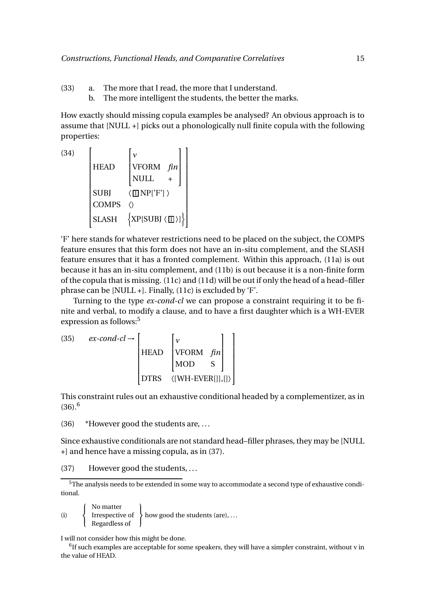- (33) a. The more that I read, the more that I understand.
	- b. The more intelligent the students, the better the marks.

How exactly should missing copula examples be analysed? An obvious approach is to assume that [NULL +] picks out a phonologically null finite copula with the following properties:

(34) HEAD  $\sqrt{ }$  $\begin{matrix} \phantom{-} \end{matrix}$ *ν* VFORM *fin* NULL + 1  $\overline{\phantom{a}}$  $SUBJ \qquad \langle \text{I} \text{I} \text{NP} \text{I}' \text{F}' \text{I} \rangle$ COMPS 〈〉  $SLASH \quad \{XP[SUBJ \setminus \Box\}]$ 1 

'F' here stands for whatever restrictions need to be placed on the subject, the COMPS feature ensures that this form does not have an in-situ complement, and the SLASH feature ensures that it has a fronted complement. Within this approach, (11a) is out because it has an in-situ complement, and (11b) is out because it is a non-finite form of the copula that is missing. (11c) and (11d) will be out if only the head of a head–filler phrase can be [NULL +]. Finally, (11c) is excluded by 'F'.

Turning to the type *ex-cond-cl* we can propose a constraint requiring it to be finite and verbal, to modify a clause, and to have a first daughter which is a WH-EVER expression as follows:<sup>5</sup>

(35)  $ex\text{-}cond\text{-}cl \rightarrow [$  $\begin{array}{c} \begin{array}{c} \begin{array}{c} \begin{array}{c} \end{array} \\ \begin{array}{c} \end{array} \end{array} \end{array} \end{array}$ HEAD  $\sqrt{ }$  $\begin{array}{c} \hline \end{array}$ *ν* VFORM *fin* MOD S 1  $\overline{\phantom{a}}$ DTRS 〈[WH-EVER[]],[]〉 1  $\begin{array}{c} \begin{array}{c} \begin{array}{c} \begin{array}{c} \begin{array}{c} \end{array} \\ \end{array} \\ \begin{array}{c} \end{array} \end{array} \end{array} \end{array}$ 

This constraint rules out an exhaustive conditional headed by a complementizer, as in  $(36)$ <sup>6</sup>

(36) \*However good the students are, ...

Since exhaustive conditionals are not standard head–filler phrases, they may be [NULL +] and hence have a missing copula, as in (37).

(37) However good the students, ...

(i)  $\sqrt{ }$ Į  $\mathbf{I}$ No matter Irrespective of Regardless of  $\mathbf{I}$  $\mathbf{I}$  $\mathsf{J}$ how good the students (are), ...

I will not consider how this might be done.

 $^6$ If such examples are acceptable for some speakers, they will have a simpler constraint, without v in the value of HEAD.

<sup>5</sup>The analysis needs to be extended in some way to accommodate a second type of exhaustive conditional.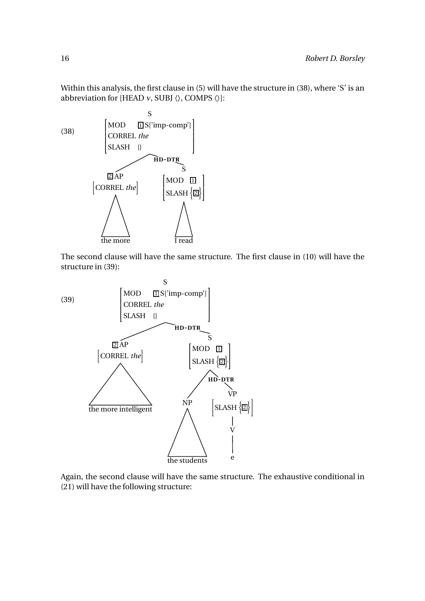Within this analysis, the first clause in (5) will have the structure in (38), where 'S' is an abbreviation for [HEAD  $v,$  SUBJ  $\langle \rangle,$  COMPS  $\langle \rangle]$  :



The second clause will have the same structure. The first clause in (10) will have the structure in (39):



Again, the second clause will have the same structure. The exhaustive conditional in (21) will have the following structure: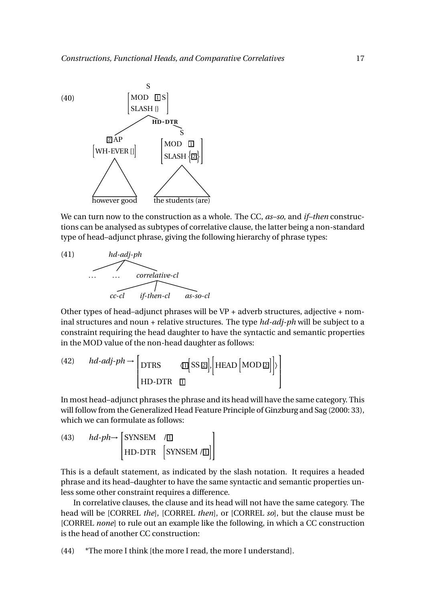

We can turn now to the construction as a whole. The CC, *as–so*, and *if–then* constructions can be analysed as subtypes of correlative clause, the latter being a non-standard type of head–adjunct phrase, giving the following hierarchy of phrase types:



Other types of head–adjunct phrases will be VP + adverb structures, adjective + nominal structures and noun + relative structures. The type *hd-adj-ph* will be subject to a constraint requiring the head daughter to have the syntactic and semantic properties in the MOD value of the non-head daughter as follows:

(42) 
$$
hd\text{-}adj\text{-}ph \rightarrow \begin{bmatrix} \text{DTRS} & \langle \mathbb{I} \mid \text{SS} \mathbb{Z} \mid, \begin{bmatrix} \text{HEAD} \end{bmatrix} \text{MOD} \mathbb{Z} \end{bmatrix} \rangle
$$
  
\n
$$
\begin{bmatrix} \text{HD-DTR} & \mathbb{I} \end{bmatrix}
$$

In most head–adjunct phrases the phrase and its head will have the same category. This will follow from the Generalized Head Feature Principle of Ginzburg and Sag (2000: 33), which we can formulate as follows:

(43) 
$$
hd\text{-}ph\rightarrow
$$
 
$$
\begin{bmatrix} \text{SYNSEM} & / \mathbb{I} \\ \text{HD-DTR} & \text{SYNSEM} / \mathbb{I} \end{bmatrix}
$$

This is a default statement, as indicated by the slash notation. It requires a headed phrase and its head–daughter to have the same syntactic and semantic properties unless some other constraint requires a difference.

In correlative clauses, the clause and its head will not have the same category. The head will be [CORREL *the*], [CORREL *then*], or [CORREL *so*], but the clause must be [CORREL *none*] to rule out an example like the following, in which a CC construction is the head of another CC construction:

(44) \*The more I think [the more I read, the more I understand].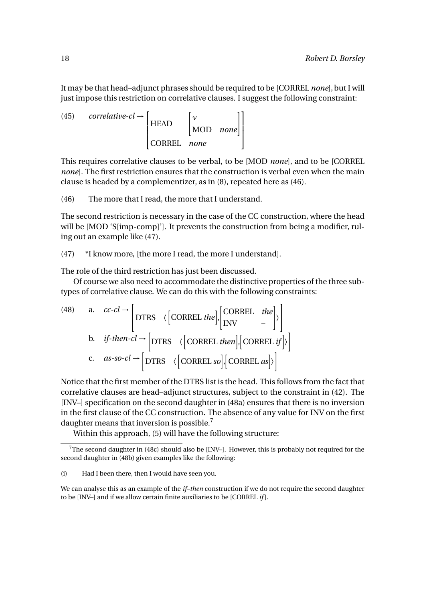It may be that head–adjunct phrases should be required to be [CORREL *none*], but I will just impose this restriction on correlative clauses. I suggest the following constraint:

(45) *correlative-cl*  $\rightarrow$  [  $\Big\}$ **HEAD**  $\begin{bmatrix} v \\ \text{MOD} & \text{none} \end{bmatrix}$ CORREL *none* 1  $\Big\}$ 

This requires correlative clauses to be verbal, to be [MOD *none*], and to be [CORREL *none*]. The first restriction ensures that the construction is verbal even when the main clause is headed by a complementizer, as in (8), repeated here as (46).

(46) The more that I read, the more that I understand.

The second restriction is necessary in the case of the CC construction, where the head will be [MOD 'S[imp-comp]']. It prevents the construction from being a modifier, ruling out an example like (47).

(47) \*I know more, [the more I read, the more I understand].

The role of the third restriction has just been discussed.

Of course we also need to accommodate the distinctive properties of the three subtypes of correlative clause. We can do this with the following constraints:

(48) a. 
$$
cc\text{-}cl \rightarrow \begin{bmatrix} \text{DTRS} & \langle \text{CORREL } the \end{bmatrix}, \begin{bmatrix} \text{CORREL } the \\ \text{INV} & - \end{bmatrix} \rangle
$$
  
b. *if-then-cl*  $\rightarrow$   $\begin{bmatrix} \text{DTRS} & \langle \text{CORREL } then \end{bmatrix}, \begin{bmatrix} \text{CORREL } if \end{bmatrix} \rangle$   
c.  $as\text{-}so\text{-}cl \rightarrow \begin{bmatrix} \text{DTRS} & \langle \text{CORREL } so \end{bmatrix}, \begin{bmatrix} \text{CORREL } as \end{bmatrix} \rangle$ 

Notice that the first member of the DTRS list is the head. This follows from the fact that correlative clauses are head–adjunct structures, subject to the constraint in (42). The [INV–] specification on the second daughter in (48a) ensures that there is no inversion in the first clause of the CC construction. The absence of any value for INV on the first daughter means that inversion is possible.<sup>7</sup>

Within this approach, (5) will have the following structure:

<sup>&</sup>lt;sup>7</sup>The second daughter in (48c) should also be [INV–]. However, this is probably not required for the second daughter in (48b) given examples like the following:

<sup>(</sup>i) Had I been there, then I would have seen you.

We can analyse this as an example of the *if–then* construction if we do not require the second daughter to be [INV–] and if we allow certain finite auxiliaries to be [CORREL *if* ].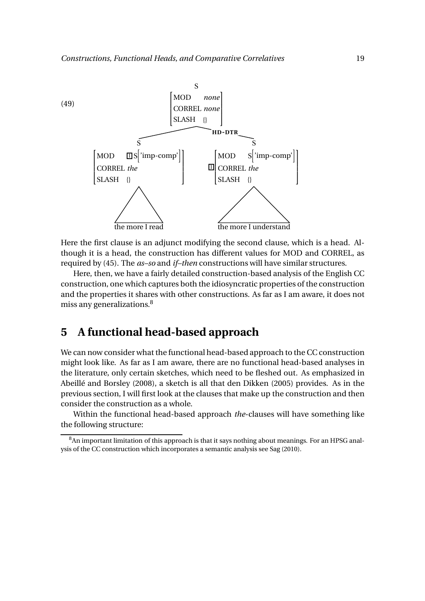

Here the first clause is an adjunct modifying the second clause, which is a head. Although it is a head, the construction has different values for MOD and CORREL, as required by (45). The *as–so* and *if–then* constructions will have similar structures.

Here, then, we have a fairly detailed construction-based analysis of the English CC construction, one which captures both the idiosyncratic properties of the construction and the properties it shares with other constructions. As far as I am aware, it does not miss any generalizations. $8<sup>8</sup>$ 

#### **5 A functional head-based approach**

We can now consider what the functional head-based approach to the CC construction might look like. As far as I am aware, there are no functional head-based analyses in the literature, only certain sketches, which need to be fleshed out. As emphasized in Abeillé and Borsley (2008), a sketch is all that den Dikken (2005) provides. As in the previous section, I will first look at the clauses that make up the construction and then consider the construction as a whole.

Within the functional head-based approach *the*-clauses will have something like the following structure:

<sup>&</sup>lt;sup>8</sup>An important limitation of this approach is that it says nothing about meanings. For an HPSG analysis of the CC construction which incorporates a semantic analysis see Sag (2010).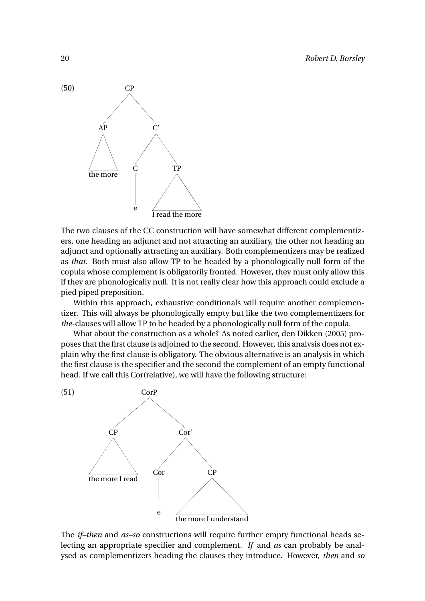

The two clauses of the CC construction will have somewhat different complementizers, one heading an adjunct and not attracting an auxiliary, the other not heading an adjunct and optionally attracting an auxiliary. Both complementizers may be realized as *that*. Both must also allow TP to be headed by a phonologically null form of the copula whose complement is obligatorily fronted. However, they must only allow this if they are phonologically null. It is not really clear how this approach could exclude a pied piped preposition.

Within this approach, exhaustive conditionals will require another complementizer. This will always be phonologically empty but like the two complementizers for *the*-clauses will allow TP to be headed by a phonologically null form of the copula.

What about the construction as a whole? As noted earlier, den Dikken (2005) proposes that the first clause is adjoined to the second. However, this analysis does not explain why the first clause is obligatory. The obvious alternative is an analysis in which the first clause is the specifier and the second the complement of an empty functional head. If we call this Cor(relative), we will have the following structure:



The *if–then* and *as–so* constructions will require further empty functional heads selecting an appropriate specifier and complement. *If* and *as* can probably be analysed as complementizers heading the clauses they introduce. However, *then* and *so*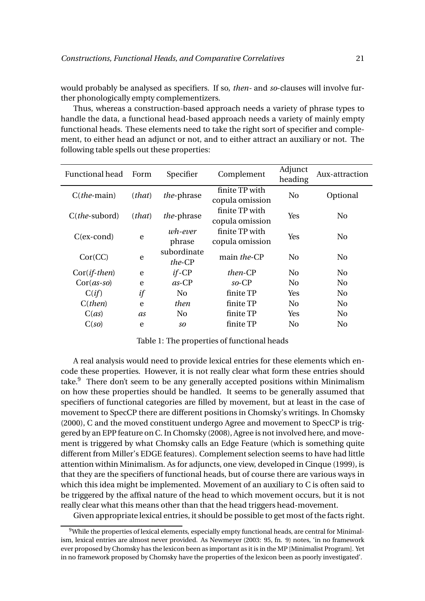would probably be analysed as specifiers. If so, *then-* and *so*-clauses will involve further phonologically empty complementizers.

Thus, whereas a construction-based approach needs a variety of phrase types to handle the data, a functional head-based approach needs a variety of mainly empty functional heads. These elements need to take the right sort of specifier and complement, to either head an adjunct or not, and to either attract an auxiliary or not. The following table spells out these properties:

| <b>Functional head</b>  | Form   | Specifier             | Complement                        | Adjunct<br>heading | Aux-attraction |
|-------------------------|--------|-----------------------|-----------------------------------|--------------------|----------------|
| $C$ ( <i>the</i> -main) | (that) | <i>the-phrase</i>     | finite TP with<br>copula omission | No                 | Optional       |
| $C(the-subord)$         | (that) | <i>the-phrase</i>     | finite TP with<br>copula omission | Yes                | No.            |
| $C(ex-cond)$            | e      | wh-ever<br>phrase     | finite TP with<br>copula omission | Yes                | N <sub>0</sub> |
| Cor(CC)                 | e      | subordinate<br>the-CP | main the-CP                       | N <sub>0</sub>     | N <sub>0</sub> |
| $Cor(if-then)$          | e      | $if$ -CP              | <i>then-CP</i>                    | N <sub>0</sub>     | N <sub>0</sub> |
| $Cor(as-so)$            | e      | $as$ -CP              | $so$ -CP                          | No.                | No.            |
| C(i f)                  | if     | No.                   | finite TP                         | <b>Yes</b>         | No.            |
| $C$ ( <i>then</i> )     | e      | <i>then</i>           | finite TP                         | No.                | No.            |
| C(as)                   | as     | No.                   | finite TP                         | <b>Yes</b>         | No.            |
| C(so)                   | e      | SO.                   | finite TP                         | N <sub>0</sub>     | No             |

Table 1: The properties of functional heads

A real analysis would need to provide lexical entries for these elements which encode these properties. However, it is not really clear what form these entries should take.<sup>9</sup> There don't seem to be any generally accepted positions within Minimalism on how these properties should be handled. It seems to be generally assumed that specifiers of functional categories are filled by movement, but at least in the case of movement to SpecCP there are different positions in Chomsky's writings. In Chomsky (2000), C and the moved constituent undergo Agree and movement to SpecCP is triggered by an EPP feature on C. In Chomsky (2008), Agree is not involved here, and movement is triggered by what Chomsky calls an Edge Feature (which is something quite different from Miller's EDGE features). Complement selection seems to have had little attention within Minimalism. As for adjuncts, one view, developed in Cinque (1999), is that they are the specifiers of functional heads, but of course there are various ways in which this idea might be implemented. Movement of an auxiliary to C is often said to be triggered by the affixal nature of the head to which movement occurs, but it is not really clear what this means other than that the head triggers head-movement.

Given appropriate lexical entries, it should be possible to get most of the facts right.

<sup>9</sup>While the properties of lexical elements, especially empty functional heads, are central for Minimalism, lexical entries are almost never provided. As Newmeyer (2003: 95, fn. 9) notes, 'in no framework ever proposed by Chomsky has the lexicon been as important as it is in the MP [Minimalist Program]. Yet in no framework proposed by Chomsky have the properties of the lexicon been as poorly investigated'.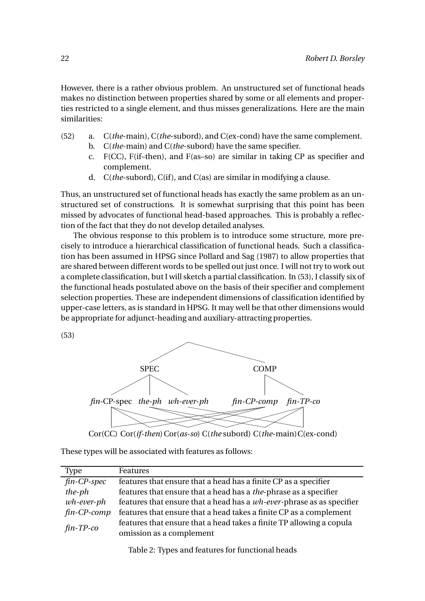However, there is a rather obvious problem. An unstructured set of functional heads makes no distinction between properties shared by some or all elements and properties restricted to a single element, and thus misses generalizations. Here are the main similarities:

- (52) a. C(*the*-main), C(*the*-subord), and C(ex-cond) have the same complement.
	- b. C(*the*-main) and C(*the*-subord) have the same specifier.
	- c. F(CC), F(if–then), and F(as–so) are similar in taking CP as specifier and complement.
	- d. C(*the*-subord), C(if), and C(as) are similar in modifying a clause.

Thus, an unstructured set of functional heads has exactly the same problem as an unstructured set of constructions. It is somewhat surprising that this point has been missed by advocates of functional head-based approaches. This is probably a reflection of the fact that they do not develop detailed analyses.

The obvious response to this problem is to introduce some structure, more precisely to introduce a hierarchical classification of functional heads. Such a classification has been assumed in HPSG since Pollard and Sag (1987) to allow properties that are shared between different words to be spelled out just once. I will not try to work out a complete classification, but I will sketch a partial classification. In (53), I classify six of the functional heads postulated above on the basis of their specifier and complement selection properties. These are independent dimensions of classification identified by upper-case letters, as is standard in HPSG. It may well be that other dimensions would be appropriate for adjunct-heading and auxiliary-attracting properties.

(53)



Cor(CC) Cor(*if-then*)Cor(*as-so*)C(*the* subord)C(*the-main*)C(ex-cond)

These types will be associated with features as follows:

| <b>Type</b>                           | Features                                                              |
|---------------------------------------|-----------------------------------------------------------------------|
| $\overline{fin}$ -CP-spec             | features that ensure that a head has a finite CP as a specifier       |
| $the$ - $ph$                          | features that ensure that a head has a the-phrase as a specifier      |
| $wh\text{-}ever\text{-}ph$            | features that ensure that a head has a wh-ever-phrase as as specifier |
| $fin$ - $CP$ - $comp$                 | features that ensure that a head takes a finite CP as a complement    |
| $\mathit{fin}\text{-}\mathit{TP}$ -co | features that ensure that a head takes a finite TP allowing a copula  |
|                                       | omission as a complement                                              |

Table 2: Types and features for functional heads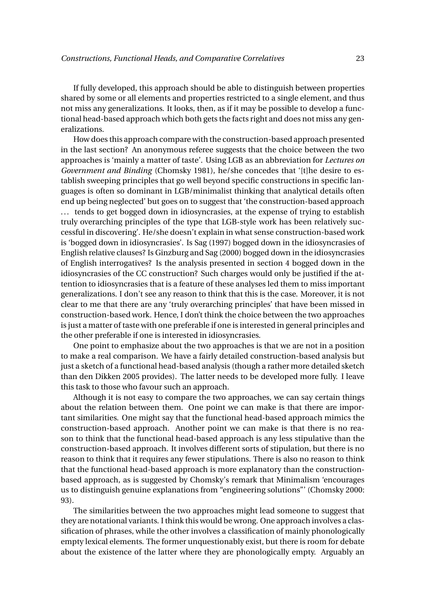If fully developed, this approach should be able to distinguish between properties shared by some or all elements and properties restricted to a single element, and thus not miss any generalizations. It looks, then, as if it may be possible to develop a functional head-based approach which both gets the facts right and does not miss any generalizations.

How does this approach compare with the construction-based approach presented in the last section? An anonymous referee suggests that the choice between the two approaches is 'mainly a matter of taste'. Using LGB as an abbreviation for *Lectures on Government and Binding* (Chomsky 1981), he/she concedes that '[t]he desire to establish sweeping principles that go well beyond specific constructions in specific languages is often so dominant in LGB/minimalist thinking that analytical details often end up being neglected' but goes on to suggest that 'the construction-based approach ... tends to get bogged down in idiosyncrasies, at the expense of trying to establish truly overarching principles of the type that LGB-style work has been relatively successful in discovering'. He/she doesn't explain in what sense construction-based work is 'bogged down in idiosyncrasies'. Is Sag (1997) bogged down in the idiosyncrasies of English relative clauses? Is Ginzburg and Sag (2000) bogged down in the idiosyncrasies of English interrogatives? Is the analysis presented in section 4 bogged down in the idiosyncrasies of the CC construction? Such charges would only be justified if the attention to idiosyncrasies that is a feature of these analyses led them to miss important generalizations. I don't see any reason to think that this is the case. Moreover, it is not clear to me that there are any 'truly overarching principles' that have been missed in construction-based work. Hence, I don't think the choice between the two approaches is just a matter of taste with one preferable if one is interested in general principles and the other preferable if one is interested in idiosyncrasies.

One point to emphasize about the two approaches is that we are not in a position to make a real comparison. We have a fairly detailed construction-based analysis but just a sketch of a functional head-based analysis (though a rather more detailed sketch than den Dikken 2005 provides). The latter needs to be developed more fully. I leave this task to those who favour such an approach.

Although it is not easy to compare the two approaches, we can say certain things about the relation between them. One point we can make is that there are important similarities. One might say that the functional head-based approach mimics the construction-based approach. Another point we can make is that there is no reason to think that the functional head-based approach is any less stipulative than the construction-based approach. It involves different sorts of stipulation, but there is no reason to think that it requires any fewer stipulations. There is also no reason to think that the functional head-based approach is more explanatory than the constructionbased approach, as is suggested by Chomsky's remark that Minimalism 'encourages us to distinguish genuine explanations from "engineering solutions"' (Chomsky 2000: 93).

The similarities between the two approaches might lead someone to suggest that they are notational variants. I think this would be wrong. One approach involves a classification of phrases, while the other involves a classification of mainly phonologically empty lexical elements. The former unquestionably exist, but there is room for debate about the existence of the latter where they are phonologically empty. Arguably an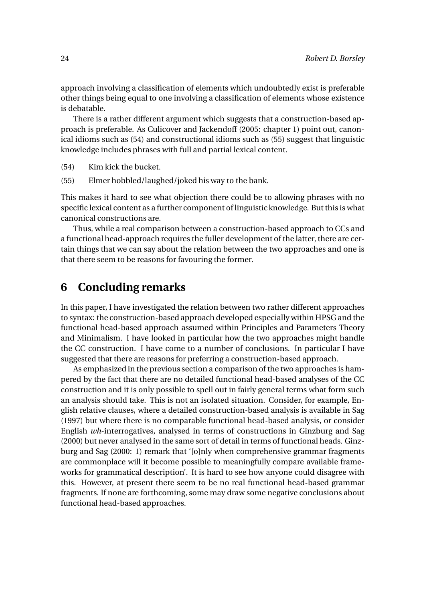approach involving a classification of elements which undoubtedly exist is preferable other things being equal to one involving a classification of elements whose existence is debatable.

There is a rather different argument which suggests that a construction-based approach is preferable. As Culicover and Jackendoff (2005: chapter 1) point out, canonical idioms such as (54) and constructional idioms such as (55) suggest that linguistic knowledge includes phrases with full and partial lexical content.

- (54) Kim kick the bucket.
- (55) Elmer hobbled/laughed/joked his way to the bank.

This makes it hard to see what objection there could be to allowing phrases with no specific lexical content as a further component of linguistic knowledge. But this is what canonical constructions are.

Thus, while a real comparison between a construction-based approach to CCs and a functional head-approach requires the fuller development of the latter, there are certain things that we can say about the relation between the two approaches and one is that there seem to be reasons for favouring the former.

#### **6 Concluding remarks**

In this paper, I have investigated the relation between two rather different approaches to syntax: the construction-based approach developed especially within HPSG and the functional head-based approach assumed within Principles and Parameters Theory and Minimalism. I have looked in particular how the two approaches might handle the CC construction. I have come to a number of conclusions. In particular I have suggested that there are reasons for preferring a construction-based approach.

As emphasized in the previous section a comparison of the two approaches is hampered by the fact that there are no detailed functional head-based analyses of the CC construction and it is only possible to spell out in fairly general terms what form such an analysis should take. This is not an isolated situation. Consider, for example, English relative clauses, where a detailed construction-based analysis is available in Sag (1997) but where there is no comparable functional head-based analysis, or consider English *wh*-interrogatives, analysed in terms of constructions in Ginzburg and Sag (2000) but never analysed in the same sort of detail in terms of functional heads. Ginzburg and Sag (2000: 1) remark that '[o]nly when comprehensive grammar fragments are commonplace will it become possible to meaningfully compare available frameworks for grammatical description'. It is hard to see how anyone could disagree with this. However, at present there seem to be no real functional head-based grammar fragments. If none are forthcoming, some may draw some negative conclusions about functional head-based approaches.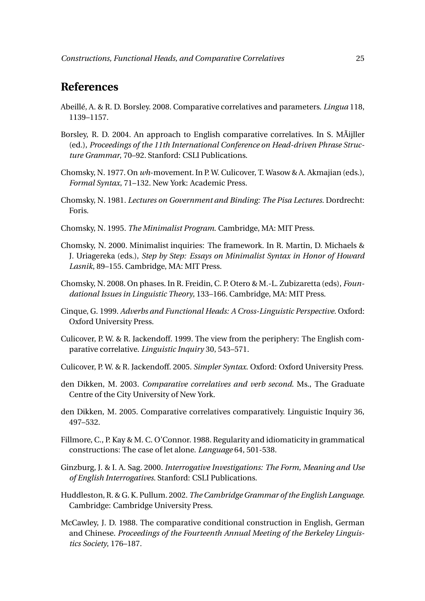#### **References**

- Abeillé, A. & R. D. Borsley. 2008. Comparative correlatives and parameters. *Lingua* 118, 1139–1157.
- Borsley, R. D. 2004. An approach to English comparative correlatives. In S. MÃijller (ed.), *Proceedings of the 11th International Conference on Head-driven Phrase Structure Grammar*, 70–92. Stanford: CSLI Publications.
- Chomsky, N. 1977. On *wh*-movement. In P. W. Culicover, T. Wasow & A. Akmajian (eds.), *Formal Syntax*, 71–132. New York: Academic Press.
- Chomsky, N. 1981. *Lectures on Government and Binding: The Pisa Lectures*. Dordrecht: Foris.
- Chomsky, N. 1995. *The Minimalist Program*. Cambridge, MA: MIT Press.
- Chomsky, N. 2000. Minimalist inquiries: The framework. In R. Martin, D. Michaels & J. Uriagereka (eds.), *Step by Step: Essays on Minimalist Syntax in Honor of Howard Lasnik*, 89–155. Cambridge, MA: MIT Press.
- Chomsky, N. 2008. On phases. In R. Freidin, C. P. Otero & M.-L. Zubizaretta (eds), *Foundational Issues in Linguistic Theory*, 133–166. Cambridge, MA: MIT Press.
- Cinque, G. 1999. *Adverbs and Functional Heads: A Cross-Linguistic Perspective*. Oxford: Oxford University Press.
- Culicover, P. W. & R. Jackendoff. 1999. The view from the periphery: The English comparative correlative. *Linguistic Inquiry* 30, 543–571.
- Culicover, P. W. & R. Jackendoff. 2005. *Simpler Syntax*. Oxford: Oxford University Press.
- den Dikken, M. 2003. *Comparative correlatives and verb second*. Ms., The Graduate Centre of the City University of New York.
- den Dikken, M. 2005. Comparative correlatives comparatively. Linguistic Inquiry 36, 497–532.
- Fillmore, C., P. Kay & M. C. O'Connor. 1988. Regularity and idiomaticity in grammatical constructions: The case of let alone. *Language* 64, 501-538.
- Ginzburg, J. & I. A. Sag. 2000. *Interrogative Investigations: The Form, Meaning and Use of English Interrogatives*. Stanford: CSLI Publications.
- Huddleston, R. & G. K. Pullum. 2002. *The Cambridge Grammar of the English Language*. Cambridge: Cambridge University Press.
- McCawley, J. D. 1988. The comparative conditional construction in English, German and Chinese. *Proceedings of the Fourteenth Annual Meeting of the Berkeley Linguistics Society*, 176–187.